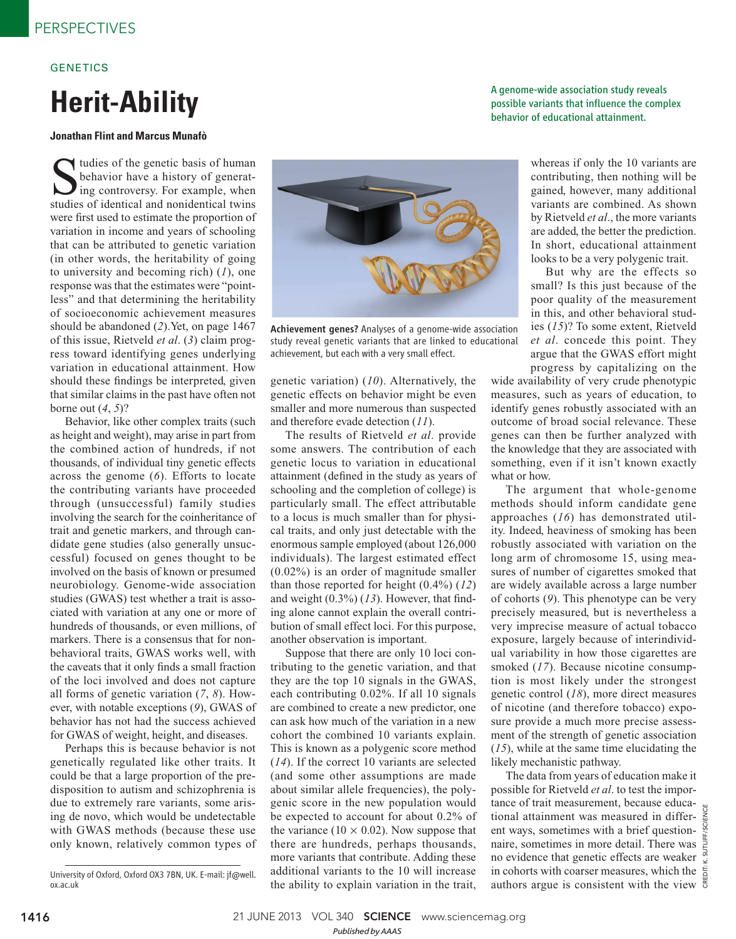## **GENETICS**

# **Herit-Ability**

### **Jonathan Flint and Marcus Munafò**

Sudies of the genetic basis of human<br>behavior have a history of generat-<br>ing controversy. For example, when<br>studies of identical and nonidentical twins tudies of the genetic basis of human behavior have a history of generating controversy. For example, when were first used to estimate the proportion of variation in income and years of schooling that can be attributed to genetic variation (in other words, the heritability of going to university and becoming rich) ( *1*), one response was that the estimates were "pointless" and that determining the heritability of socioeconomic achievement measures should be abandoned (2). Yet, on page 1467 of this issue, Rietveld *et al.* (3) claim progress toward identifying genes underlying variation in educational attainment. How should these findings be interpreted, given that similar claims in the past have often not borne out  $(4, 5)$ ?

Behavior, like other complex traits (such as height and weight), may arise in part from the combined action of hundreds, if not thousands, of individual tiny genetic effects across the genome (6). Efforts to locate the contributing variants have proceeded through (unsuccessful) family studies involving the search for the coinheritance of trait and genetic markers, and through candidate gene studies (also generally unsuccessful) focused on genes thought to be involved on the basis of known or presumed neurobiology. Genome-wide association studies (GWAS) test whether a trait is associated with variation at any one or more of hundreds of thousands, or even millions, of markers. There is a consensus that for nonbehavioral traits, GWAS works well, with the caveats that it only finds a small fraction of the loci involved and does not capture all forms of genetic variation ( *7*, *8*). However, with notable exceptions (9), GWAS of behavior has not had the success achieved for GWAS of weight, height, and diseases.

Perhaps this is because behavior is not genetically regulated like other traits. It could be that a large proportion of the predisposition to autism and schizophrenia is due to extremely rare variants, some arising de novo, which would be undetectable with GWAS methods (because these use only known, relatively common types of



Achievement genes? Analyses of a genome-wide association study reveal genetic variants that are linked to educational achievement, but each with a very small effect.

genetic variation) ( *10*). Alternatively, the genetic effects on behavior might be even smaller and more numerous than suspected and therefore evade detection (11).

The results of Rietveld *et al*. provide some answers. The contribution of each genetic locus to variation in educational attainment (defined in the study as years of schooling and the completion of college) is particularly small. The effect attributable to a locus is much smaller than for physical traits, and only just detectable with the enormous sample employed (about 126,000 individuals). The largest estimated effect (0.02%) is an order of magnitude smaller than those reported for height  $(0.4\%)$   $(12)$ and weight  $(0.3\%)$   $(13)$ . However, that finding alone cannot explain the overall contribution of small effect loci. For this purpose, another observation is important.

Suppose that there are only 10 loci contributing to the genetic variation, and that they are the top 10 signals in the GWAS, each contributing 0.02%. If all 10 signals are combined to create a new predictor, one can ask how much of the variation in a new cohort the combined 10 variants explain. This is known as a polygenic score method ( *14*). If the correct 10 variants are selected (and some other assumptions are made about similar allele frequencies), the polygenic score in the new population would be expected to account for about 0.2% of the variance ( $10 \times 0.02$ ). Now suppose that there are hundreds, perhaps thousands, more variants that contribute. Adding these additional variants to the 10 will increase the ability to explain variation in the trait,

A genome-wide association study reveals possible variants that influence the complex behavior of educational attainment.

> whereas if only the 10 variants are contributing, then nothing will be gained, however, many additional variants are combined. As shown by Rietveld *et al*., the more variants are added, the better the prediction. In short, educational attainment looks to be a very polygenic trait.

> But why are the effects so small? Is this just because of the poor quality of the measurement in this, and other behavioral studies ( *15*)? To some extent, Rietveld *et al*. concede this point. They argue that the GWAS effort might progress by capitalizing on the

wide availability of very crude phenotypic measures, such as years of education, to identify genes robustly associated with an outcome of broad social relevance. These genes can then be further analyzed with the knowledge that they are associated with something, even if it isn't known exactly what or how.

The argument that whole-genome methods should inform candidate gene approaches ( *16*) has demonstrated utility. Indeed, heaviness of smoking has been robustly associated with variation on the long arm of chromosome 15, using measures of number of cigarettes smoked that are widely available across a large number of cohorts (9). This phenotype can be very precisely measured, but is nevertheless a very imprecise measure of actual tobacco exposure, largely because of interindividual variability in how those cigarettes are smoked (17). Because nicotine consumption is most likely under the strongest genetic control ( *18*), more direct measures of nicotine (and therefore tobacco) exposure provide a much more precise assessment of the strength of genetic association ( *15*), while at the same time elucidating the likely mechanistic pathway.

The data from years of education make it possible for Rietveld *et al*. to test the importance of trait measurement, because educational attainment was measured in different ways, sometimes with a brief questionnaire, sometimes in more detail. There was no evidence that genetic effects are weaker in cohorts with coarser measures, which the authors argue is consistent with the view

University of Oxford, Oxford OX3 7BN, UK. E-mail: jf@well. ox.ac.uk